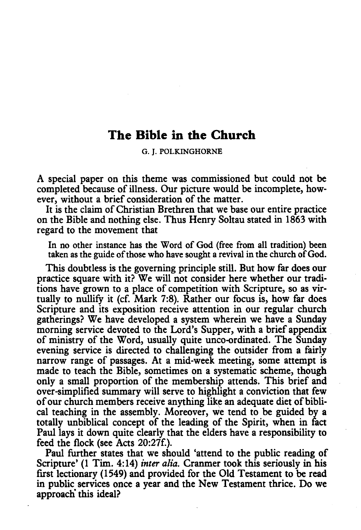## **The Bible in the Church**

G. J. POLKINGHORNE

A special paper on this theme was commissioned but could not be completed because of illness. Our picture would be incomplete, however, without a brief consideration of the matter.

It is the claim of Christian Brethren that we base our entire practice on the Bible and nothing else. Thus Henry Soltau stated in 1863 with regard to the movement that

In no other instance has the Word of God (free from all tradition) been taken as the guide of those who have sought a revival in the church of God.

This doubtless is the governing principle still. But how far does our practice square with it? We will not consider here whether our traditions have grown to a place of competition with Scripture, so as virtually to nullify it (cf. Mark 7:8). Rather our focus is, how far does Scripture and its exposition receive attention in our regular church gatherings? We have developed a system wherein we have a Sunday morning service devoted to the Lord's Supper, with a brief appendix of ministry of the Word, usually quite unco-ordinated. The Sunday evening service is directed to challenging the outsider from a fairly narrow range of passages. At a mid-week meeting, some attempt is made to teach the Bible, sometimes on a systematic scheme, though only a small proportion of the membership attends. This brief and over-simplified summary will serve to highlight a conviction that few of our church members receive anything like an adequate diet of biblical teaching in the assembly. Moreover, we tend to be guided by a totally unbiblical concept of the leading of the Spirit, when in fact Paul lays it down quite clearly that the elders have a responsibility to feed the flock (see Acts 20:27f.).

Paul further states that we should 'attend to the public reading of Scripture' (1 Tim. 4:14) *inter alia.* Cranmer took this seriously in his first lectionary (1549) and provided for the Old Testament to be read in public services once a year and the New Testament thrice. Do we approach this ideal?